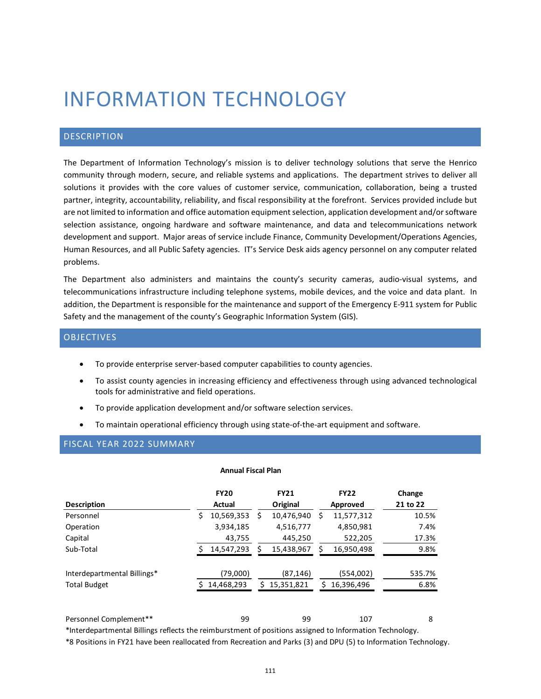# INFORMATION TECHNOLOGY

# DESCRIPTION

The Department of Information Technology's mission is to deliver technology solutions that serve the Henrico community through modern, secure, and reliable systems and applications. The department strives to deliver all solutions it provides with the core values of customer service, communication, collaboration, being a trusted partner, integrity, accountability, reliability, and fiscal responsibility at the forefront. Services provided include but are not limited to information and office automation equipment selection, application development and/or software selection assistance, ongoing hardware and software maintenance, and data and telecommunications network development and support. Major areas of service include Finance, Community Development/Operations Agencies, Human Resources, and all Public Safety agencies. IT's Service Desk aids agency personnel on any computer related problems.

The Department also administers and maintains the county's security cameras, audio-visual systems, and telecommunications infrastructure including telephone systems, mobile devices, and the voice and data plant. In addition, the Department is responsible for the maintenance and support of the Emergency E-911 system for Public Safety and the management of the county's Geographic Information System (GIS).

# OBJECTIVES

- To provide enterprise server-based computer capabilities to county agencies.
- To assist county agencies in increasing efficiency and effectiveness through using advanced technological tools for administrative and field operations.
- To provide application development and/or software selection services.
- To maintain operational efficiency through using state-of-the-art equipment and software.

# FISCAL YEAR 2022 SUMMARY

## **Annual Fiscal Plan**

| <b>Description</b>                                                                                                                | <b>FY20</b><br><b>Actual</b> | <b>FY21</b><br>Original       | <b>FY22</b><br>Approved      | Change<br>21 to 22 |
|-----------------------------------------------------------------------------------------------------------------------------------|------------------------------|-------------------------------|------------------------------|--------------------|
| Personnel                                                                                                                         | 10,569,353<br>\$             | 10,476,940<br>Ś               | 11,577,312<br>S              | 10.5%              |
| Operation                                                                                                                         | 3,934,185                    | 4,516,777                     | 4,850,981                    | 7.4%               |
| Capital                                                                                                                           | 43,755                       | 445,250                       | 522,205                      | 17.3%              |
| Sub-Total                                                                                                                         | 14,547,293                   | 15,438,967                    | 16,950,498                   | 9.8%               |
| Interdepartmental Billings*<br><b>Total Budget</b>                                                                                | (79,000)<br>14,468,293       | (87, 146)<br>15,351,821<br>S. | (554,002)<br>16,396,496<br>ς | 535.7%<br>6.8%     |
| Personnel Complement**<br>*Interdepartmental Billings reflects the reimburstment of positions assigned to Information Technology. | 99                           | 99                            | 107                          | 8                  |

\*8 Positions in FY21 have been reallocated from Recreation and Parks (3) and DPU (5) to Information Technology.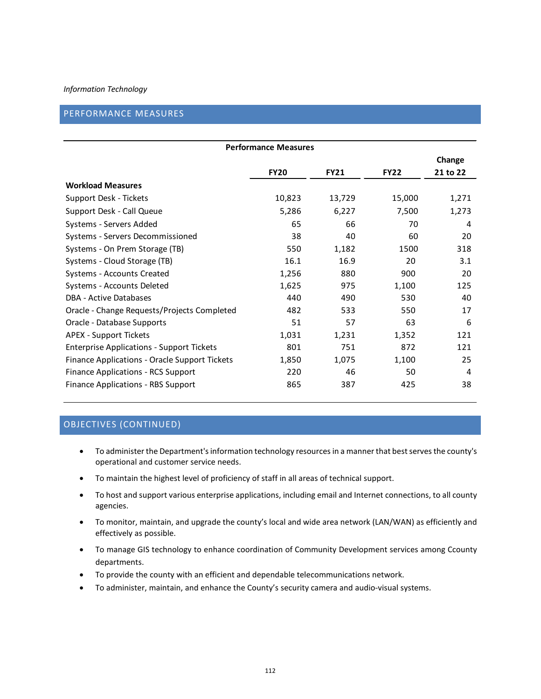# PERFORMANCE MEASURES

| <b>Performance Measures</b>                      |             |             |             |          |  |  |  |  |
|--------------------------------------------------|-------------|-------------|-------------|----------|--|--|--|--|
|                                                  |             |             |             | Change   |  |  |  |  |
|                                                  | <b>FY20</b> | <b>FY21</b> | <b>FY22</b> | 21 to 22 |  |  |  |  |
| <b>Workload Measures</b>                         |             |             |             |          |  |  |  |  |
| Support Desk - Tickets                           | 10,823      | 13,729      | 15,000      | 1,271    |  |  |  |  |
| Support Desk - Call Queue                        | 5,286       | 6,227       | 7,500       | 1,273    |  |  |  |  |
| Systems - Servers Added                          | 65          | 66          | 70          | 4        |  |  |  |  |
| Systems - Servers Decommissioned                 | 38          | 40          | 60          | 20       |  |  |  |  |
| Systems - On Prem Storage (TB)                   | 550         | 1,182       | 1500        | 318      |  |  |  |  |
| Systems - Cloud Storage (TB)                     | 16.1        | 16.9        | 20          | 3.1      |  |  |  |  |
| Systems - Accounts Created                       | 1,256       | 880         | 900         | 20       |  |  |  |  |
| Systems - Accounts Deleted                       | 1,625       | 975         | 1,100       | 125      |  |  |  |  |
| DBA - Active Databases                           | 440         | 490         | 530         | 40       |  |  |  |  |
| Oracle - Change Requests/Projects Completed      | 482         | 533         | 550         | 17       |  |  |  |  |
| Oracle - Database Supports                       | 51          | 57          | 63          | 6        |  |  |  |  |
| <b>APEX - Support Tickets</b>                    | 1,031       | 1,231       | 1,352       | 121      |  |  |  |  |
| <b>Enterprise Applications - Support Tickets</b> | 801         | 751         | 872         | 121      |  |  |  |  |
| Finance Applications - Oracle Support Tickets    | 1,850       | 1,075       | 1,100       | 25       |  |  |  |  |
| <b>Finance Applications - RCS Support</b>        | 220         | 46          | 50          | 4        |  |  |  |  |
| Finance Applications - RBS Support               | 865         | 387         | 425         | 38       |  |  |  |  |

# OBJECTIVES (CONTINUED)

- To administer the Department's information technology resources in a manner that best serves the county's operational and customer service needs.
- To maintain the highest level of proficiency of staff in all areas of technical support.
- To host and support various enterprise applications, including email and Internet connections, to all county agencies.
- To monitor, maintain, and upgrade the county's local and wide area network (LAN/WAN) as efficiently and effectively as possible.
- To manage GIS technology to enhance coordination of Community Development services among Ccounty departments.
- To provide the county with an efficient and dependable telecommunications network.
- To administer, maintain, and enhance the County's security camera and audio-visual systems.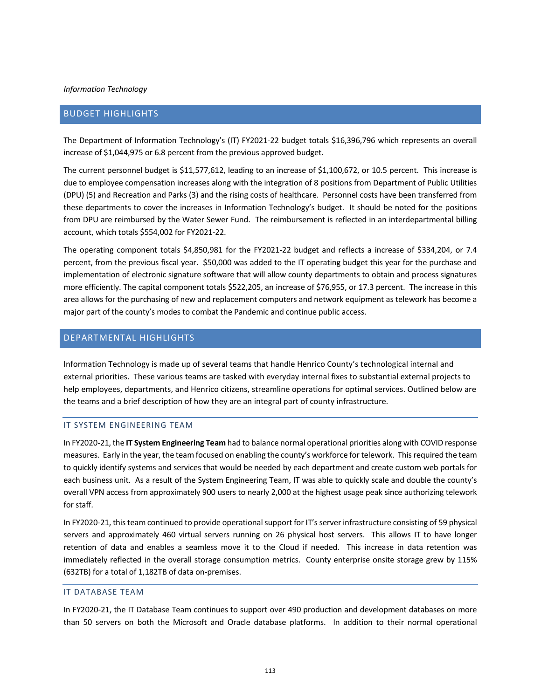# BUDGET HIGHLIGHTS

The Department of Information Technology's (IT) FY2021-22 budget totals \$16,396,796 which represents an overall increase of \$1,044,975 or 6.8 percent from the previous approved budget.

The current personnel budget is \$11,577,612, leading to an increase of \$1,100,672, or 10.5 percent. This increase is due to employee compensation increases along with the integration of 8 positions from Department of Public Utilities (DPU) (5) and Recreation and Parks (3) and the rising costs of healthcare. Personnel costs have been transferred from these departments to cover the increases in Information Technology's budget. It should be noted for the positions from DPU are reimbursed by the Water Sewer Fund. The reimbursement is reflected in an interdepartmental billing account, which totals \$554,002 for FY2021-22.

The operating component totals \$4,850,981 for the FY2021-22 budget and reflects a increase of \$334,204, or 7.4 percent, from the previous fiscal year. \$50,000 was added to the IT operating budget this year for the purchase and implementation of electronic signature software that will allow county departments to obtain and process signatures more efficiently. The capital component totals \$522,205, an increase of \$76,955, or 17.3 percent. The increase in this area allows for the purchasing of new and replacement computers and network equipment as telework has become a major part of the county's modes to combat the Pandemic and continue public access.

# DEPARTMENTAL HIGHLIGHTS

Information Technology is made up of several teams that handle Henrico County's technological internal and external priorities. These various teams are tasked with everyday internal fixes to substantial external projects to help employees, departments, and Henrico citizens, streamline operations for optimal services. Outlined below are the teams and a brief description of how they are an integral part of county infrastructure.

## IT SYSTEM ENGINEERING TEAM

In FY2020-21, the **IT System Engineering Team** had to balance normal operational priorities along with COVID response measures. Early in the year, the team focused on enabling the county's workforce for telework. This required the team to quickly identify systems and services that would be needed by each department and create custom web portals for each business unit. As a result of the System Engineering Team, IT was able to quickly scale and double the county's overall VPN access from approximately 900 users to nearly 2,000 at the highest usage peak since authorizing telework for staff.

In FY2020-21, this team continued to provide operational support for IT's server infrastructure consisting of 59 physical servers and approximately 460 virtual servers running on 26 physical host servers. This allows IT to have longer retention of data and enables a seamless move it to the Cloud if needed. This increase in data retention was immediately reflected in the overall storage consumption metrics. County enterprise onsite storage grew by 115% (632TB) for a total of 1,182TB of data on-premises.

#### IT DATABASE TEAM

In FY2020-21, the IT Database Team continues to support over 490 production and development databases on more than 50 servers on both the Microsoft and Oracle database platforms. In addition to their normal operational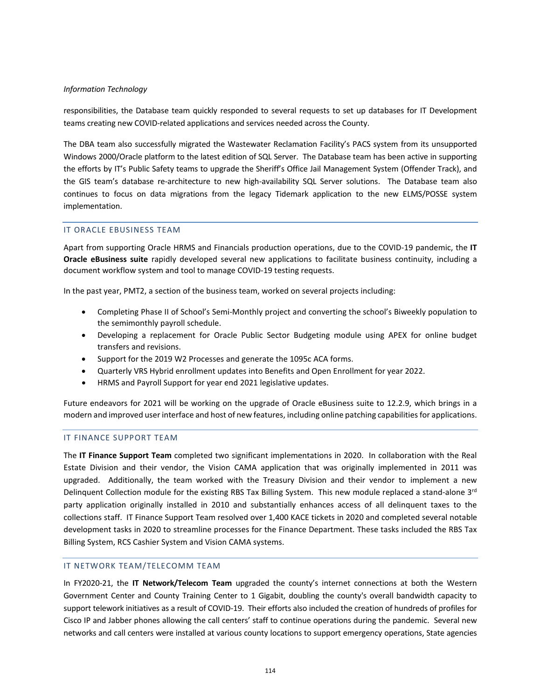responsibilities, the Database team quickly responded to several requests to set up databases for IT Development teams creating new COVID-related applications and services needed across the County.

The DBA team also successfully migrated the Wastewater Reclamation Facility's PACS system from its unsupported Windows 2000/Oracle platform to the latest edition of SQL Server. The Database team has been active in supporting the efforts by IT's Public Safety teams to upgrade the Sheriff's Office Jail Management System (Offender Track), and the GIS team's database re-architecture to new high-availability SQL Server solutions. The Database team also continues to focus on data migrations from the legacy Tidemark application to the new ELMS/POSSE system implementation.

## IT ORACLE EBUSINESS TEAM

Apart from supporting Oracle HRMS and Financials production operations, due to the COVID-19 pandemic, the **IT Oracle eBusiness suite** rapidly developed several new applications to facilitate business continuity, including a document workflow system and tool to manage COVID-19 testing requests.

In the past year, PMT2, a section of the business team, worked on several projects including:

- Completing Phase II of School's Semi-Monthly project and converting the school's Biweekly population to the semimonthly payroll schedule.
- Developing a replacement for Oracle Public Sector Budgeting module using APEX for online budget transfers and revisions.
- Support for the 2019 W2 Processes and generate the 1095c ACA forms.
- Quarterly VRS Hybrid enrollment updates into Benefits and Open Enrollment for year 2022.
- HRMS and Payroll Support for year end 2021 legislative updates.

Future endeavors for 2021 will be working on the upgrade of Oracle eBusiness suite to 12.2.9, which brings in a modern and improved user interface and host of new features, including online patching capabilities for applications.

# IT FINANCE SUPPORT TEAM

The **IT Finance Support Team** completed two significant implementations in 2020. In collaboration with the Real Estate Division and their vendor, the Vision CAMA application that was originally implemented in 2011 was upgraded. Additionally, the team worked with the Treasury Division and their vendor to implement a new Delinquent Collection module for the existing RBS Tax Billing System. This new module replaced a stand-alone 3<sup>rd</sup> party application originally installed in 2010 and substantially enhances access of all delinquent taxes to the collections staff. IT Finance Support Team resolved over 1,400 KACE tickets in 2020 and completed several notable development tasks in 2020 to streamline processes for the Finance Department. These tasks included the RBS Tax Billing System, RCS Cashier System and Vision CAMA systems.

## IT NETWORK TEAM/TELECOMM TEAM

In FY2020-21, the **IT Network/Telecom Team** upgraded the county's internet connections at both the Western Government Center and County Training Center to 1 Gigabit, doubling the county's overall bandwidth capacity to support telework initiatives as a result of COVID-19. Their efforts also included the creation of hundreds of profiles for Cisco IP and Jabber phones allowing the call centers' staff to continue operations during the pandemic. Several new networks and call centers were installed at various county locations to support emergency operations, State agencies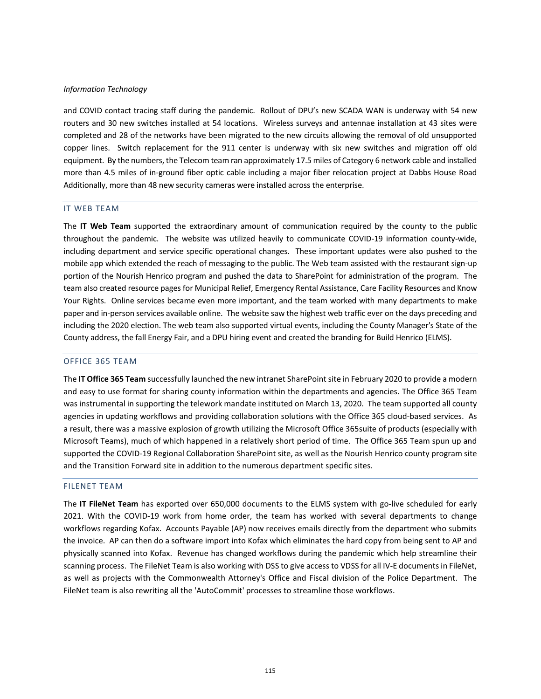and COVID contact tracing staff during the pandemic. Rollout of DPU's new SCADA WAN is underway with 54 new routers and 30 new switches installed at 54 locations. Wireless surveys and antennae installation at 43 sites were completed and 28 of the networks have been migrated to the new circuits allowing the removal of old unsupported copper lines. Switch replacement for the 911 center is underway with six new switches and migration off old equipment. By the numbers, the Telecom team ran approximately 17.5 miles of Category 6 network cable and installed more than 4.5 miles of in-ground fiber optic cable including a major fiber relocation project at Dabbs House Road Additionally, more than 48 new security cameras were installed across the enterprise.

#### IT WEB TEAM

The **IT Web Team** supported the extraordinary amount of communication required by the county to the public throughout the pandemic. The website was utilized heavily to communicate COVID-19 information county-wide, including department and service specific operational changes. These important updates were also pushed to the mobile app which extended the reach of messaging to the public. The Web team assisted with the restaurant sign-up portion of the Nourish Henrico program and pushed the data to SharePoint for administration of the program. The team also created resource pages for Municipal Relief, Emergency Rental Assistance, Care Facility Resources and Know Your Rights. Online services became even more important, and the team worked with many departments to make paper and in-person services available online. The website saw the highest web traffic ever on the days preceding and including the 2020 election. The web team also supported virtual events, including the County Manager's State of the County address, the fall Energy Fair, and a DPU hiring event and created the branding for Build Henrico (ELMS).

#### OFFICE 365 TEAM

The **IT Office 365 Team** successfully launched the new intranet SharePoint site in February 2020 to provide a modern and easy to use format for sharing county information within the departments and agencies. The Office 365 Team was instrumental in supporting the telework mandate instituted on March 13, 2020. The team supported all county agencies in updating workflows and providing collaboration solutions with the Office 365 cloud-based services. As a result, there was a massive explosion of growth utilizing the Microsoft Office 365suite of products (especially with Microsoft Teams), much of which happened in a relatively short period of time. The Office 365 Team spun up and supported the COVID-19 Regional Collaboration SharePoint site, as well as the Nourish Henrico county program site and the Transition Forward site in addition to the numerous department specific sites.

#### FILENET TEAM

The **IT FileNet Team** has exported over 650,000 documents to the ELMS system with go-live scheduled for early 2021. With the COVID-19 work from home order, the team has worked with several departments to change workflows regarding Kofax. Accounts Payable (AP) now receives emails directly from the department who submits the invoice. AP can then do a software import into Kofax which eliminates the hard copy from being sent to AP and physically scanned into Kofax. Revenue has changed workflows during the pandemic which help streamline their scanning process. The FileNet Team is also working with DSS to give access to VDSS for all IV-E documents in FileNet, as well as projects with the Commonwealth Attorney's Office and Fiscal division of the Police Department. The FileNet team is also rewriting all the 'AutoCommit' processes to streamline those workflows.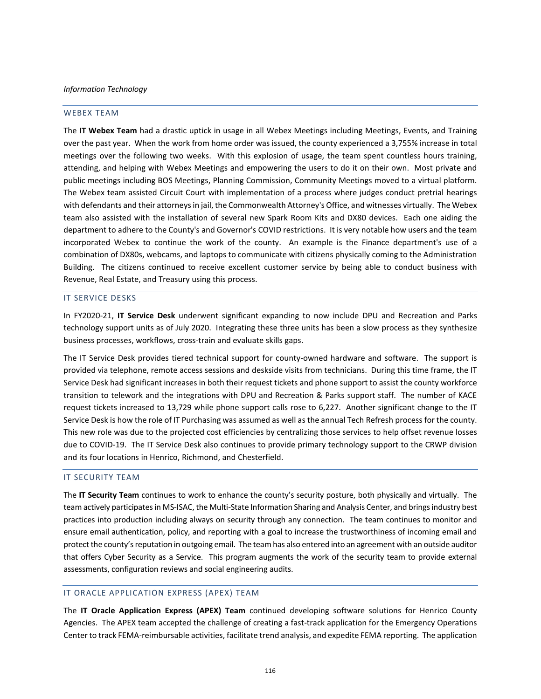#### WEBEX TEAM

The **IT Webex Team** had a drastic uptick in usage in all Webex Meetings including Meetings, Events, and Training over the past year. When the work from home order was issued, the county experienced a 3,755% increase in total meetings over the following two weeks. With this explosion of usage, the team spent countless hours training, attending, and helping with Webex Meetings and empowering the users to do it on their own. Most private and public meetings including BOS Meetings, Planning Commission, Community Meetings moved to a virtual platform. The Webex team assisted Circuit Court with implementation of a process where judges conduct pretrial hearings with defendants and their attorneys in jail, the Commonwealth Attorney's Office, and witnesses virtually. The Webex team also assisted with the installation of several new Spark Room Kits and DX80 devices. Each one aiding the department to adhere to the County's and Governor's COVID restrictions. It is very notable how users and the team incorporated Webex to continue the work of the county. An example is the Finance department's use of a combination of DX80s, webcams, and laptops to communicate with citizens physically coming to the Administration Building. The citizens continued to receive excellent customer service by being able to conduct business with Revenue, Real Estate, and Treasury using this process.

#### IT SERVICE DESKS

In FY2020-21, **IT Service Desk** underwent significant expanding to now include DPU and Recreation and Parks technology support units as of July 2020. Integrating these three units has been a slow process as they synthesize business processes, workflows, cross-train and evaluate skills gaps.

The IT Service Desk provides tiered technical support for county-owned hardware and software. The support is provided via telephone, remote access sessions and deskside visits from technicians. During this time frame, the IT Service Desk had significant increases in both their request tickets and phone support to assist the county workforce transition to telework and the integrations with DPU and Recreation & Parks support staff. The number of KACE request tickets increased to 13,729 while phone support calls rose to 6,227. Another significant change to the IT Service Desk is how the role of IT Purchasing was assumed as well as the annual Tech Refresh process for the county. This new role was due to the projected cost efficiencies by centralizing those services to help offset revenue losses due to COVID-19. The IT Service Desk also continues to provide primary technology support to the CRWP division and its four locations in Henrico, Richmond, and Chesterfield.

## IT SECURITY TEAM

The **IT Security Team** continues to work to enhance the county's security posture, both physically and virtually. The team actively participates in MS-ISAC, the Multi-State Information Sharing and Analysis Center, and brings industry best practices into production including always on security through any connection. The team continues to monitor and ensure email authentication, policy, and reporting with a goal to increase the trustworthiness of incoming email and protect the county's reputation in outgoing email. The team has also entered into an agreement with an outside auditor that offers Cyber Security as a Service. This program augments the work of the security team to provide external assessments, configuration reviews and social engineering audits.

## IT ORACLE APPLICATION EXPRESS (APEX) TEAM

The **IT Oracle Application Express (APEX) Team** continued developing software solutions for Henrico County Agencies. The APEX team accepted the challenge of creating a fast-track application for the Emergency Operations Center to track FEMA-reimbursable activities, facilitate trend analysis, and expedite FEMA reporting. The application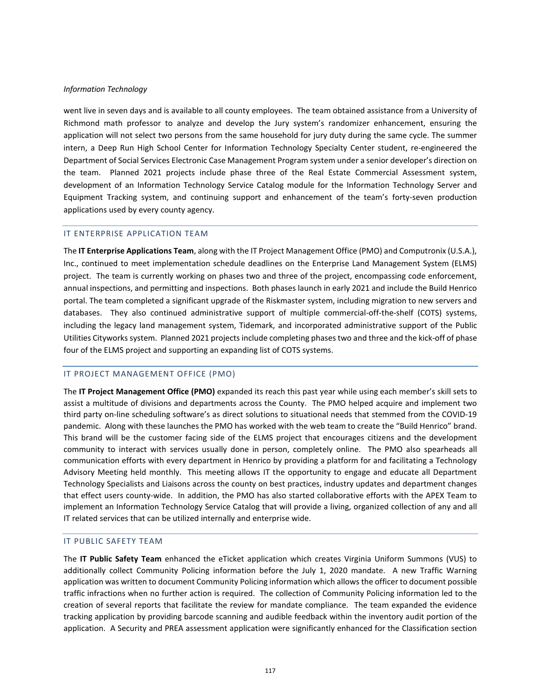went live in seven days and is available to all county employees. The team obtained assistance from a University of Richmond math professor to analyze and develop the Jury system's randomizer enhancement, ensuring the application will not select two persons from the same household for jury duty during the same cycle. The summer intern, a Deep Run High School Center for Information Technology Specialty Center student, re-engineered the Department of Social Services Electronic Case Management Program system under a senior developer's direction on the team. Planned 2021 projects include phase three of the Real Estate Commercial Assessment system, development of an Information Technology Service Catalog module for the Information Technology Server and Equipment Tracking system, and continuing support and enhancement of the team's forty-seven production applications used by every county agency.

## IT ENTERPRISE APPLICATION TEAM

The **IT Enterprise Applications Team**, along with the IT Project Management Office (PMO) and Computronix (U.S.A.), Inc., continued to meet implementation schedule deadlines on the Enterprise Land Management System (ELMS) project. The team is currently working on phases two and three of the project, encompassing code enforcement, annual inspections, and permitting and inspections. Both phases launch in early 2021 and include the Build Henrico portal. The team completed a significant upgrade of the Riskmaster system, including migration to new servers and databases. They also continued administrative support of multiple commercial-off-the-shelf (COTS) systems, including the legacy land management system, Tidemark, and incorporated administrative support of the Public Utilities Cityworks system. Planned 2021 projects include completing phases two and three and the kick-off of phase four of the ELMS project and supporting an expanding list of COTS systems.

## IT PROJECT MANAGEMENT OFFICE (PMO)

The **IT Project Management Office (PMO)** expanded its reach this past year while using each member's skill sets to assist a multitude of divisions and departments across the County. The PMO helped acquire and implement two third party on-line scheduling software's as direct solutions to situational needs that stemmed from the COVID-19 pandemic. Along with these launches the PMO has worked with the web team to create the "Build Henrico" brand. This brand will be the customer facing side of the ELMS project that encourages citizens and the development community to interact with services usually done in person, completely online. The PMO also spearheads all communication efforts with every department in Henrico by providing a platform for and facilitating a Technology Advisory Meeting held monthly. This meeting allows IT the opportunity to engage and educate all Department Technology Specialists and Liaisons across the county on best practices, industry updates and department changes that effect users county-wide. In addition, the PMO has also started collaborative efforts with the APEX Team to implement an Information Technology Service Catalog that will provide a living, organized collection of any and all IT related services that can be utilized internally and enterprise wide.

# IT PUBLIC SAFETY TEAM

The **IT Public Safety Team** enhanced the eTicket application which creates Virginia Uniform Summons (VUS) to additionally collect Community Policing information before the July 1, 2020 mandate. A new Traffic Warning application was written to document Community Policing information which allows the officer to document possible traffic infractions when no further action is required. The collection of Community Policing information led to the creation of several reports that facilitate the review for mandate compliance. The team expanded the evidence tracking application by providing barcode scanning and audible feedback within the inventory audit portion of the application. A Security and PREA assessment application were significantly enhanced for the Classification section